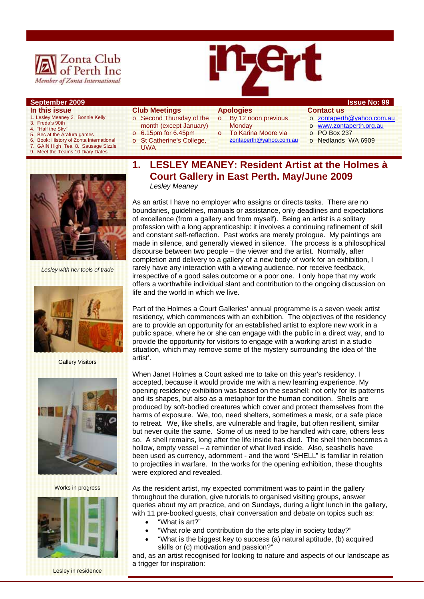

## **September 2009 Issue No: 99**

#### **In this issue**

- 1. Lesley Meaney 2, Bonnie Kelly
- 3. Freda's 90th
- 4. "Half the Sky"
- 5. Bec at the Arafura games<br>6. Book: History of Zonta Inte
- 6, Book: History of Zonta International<br>7. GAIN High Tea 8, Sausage Sizzle GAIN High Tea 8. Sausage Sizzle
- Meet the Teams 10 Diary Dates



#### **Club Meetings**

- o Second Thursday of the month (except January)  $\circ$  6.15pm for 6.45pm
- o St Catherine's College,
- UWA

#### **Apologies**  o By 12 noon previous

- **Monday** To Karina Moore via
- zontaperth@yahoo.com.au
- **Contact us**
- o zontaperth@yahoo.com.au
- o www.zontaperth.org.au
- o PO Box 237
- o Nedlands WA 6909



*Lesley with her tools of trade* 



**Gallery Visitors** 



Works in progress



Lesley in residence

## **1. LESLEY MEANEY: Resident Artist at the Holmes à Court Gallery in East Perth. May/June 2009**  *Lesley Meaney*

As an artist I have no employer who assigns or directs tasks. There are no boundaries, guidelines, manuals or assistance, only deadlines and expectations of excellence (from a gallery and from myself). Being an artist is a solitary profession with a long apprenticeship: it involves a continuing refinement of skill and constant self-reflection. Past works are merely prologue. My paintings are made in silence, and generally viewed in silence. The process is a philosophical discourse between two people – the viewer and the artist. Normally, after completion and delivery to a gallery of a new body of work for an exhibition, I rarely have any interaction with a viewing audience, nor receive feedback, irrespective of a good sales outcome or a poor one. I only hope that my work offers a worthwhile individual slant and contribution to the ongoing discussion on life and the world in which we live.

Part of the Holmes a Court Galleries' annual programme is a seven week artist residency, which commences with an exhibition. The objectives of the residency are to provide an opportunity for an established artist to explore new work in a public space, where he or she can engage with the public in a direct way, and to provide the opportunity for visitors to engage with a working artist in a studio situation, which may remove some of the mystery surrounding the idea of 'the artist'.

When Janet Holmes a Court asked me to take on this year's residency, I accepted, because it would provide me with a new learning experience. My opening residency exhibition was based on the seashell: not only for its patterns and its shapes, but also as a metaphor for the human condition. Shells are produced by soft-bodied creatures which cover and protect themselves from the harms of exposure. We, too, need shelters, sometimes a mask, or a safe place to retreat. We, like shells, are vulnerable and fragile, but often resilient, similar but never quite the same. Some of us need to be handled with care, others less so. A shell remains, long after the life inside has died. The shell then becomes a hollow, empty vessel – a reminder of what lived inside. Also, seashells have been used as currency, adornment - and the word 'SHELL" is familiar in relation to projectiles in warfare. In the works for the opening exhibition, these thoughts were explored and revealed.

As the resident artist, my expected commitment was to paint in the gallery throughout the duration, give tutorials to organised visiting groups, answer queries about my art practice, and on Sundays, during a light lunch in the gallery, with 11 pre-booked quests, chair conversation and debate on topics such as:

- "What is art?"
- "What role and contribution do the arts play in society today?"
- "What is the biggest key to success (a) natural aptitude, (b) acquired skills or (c) motivation and passion?"

and, as an artist recognised for looking to nature and aspects of our landscape as a trigger for inspiration: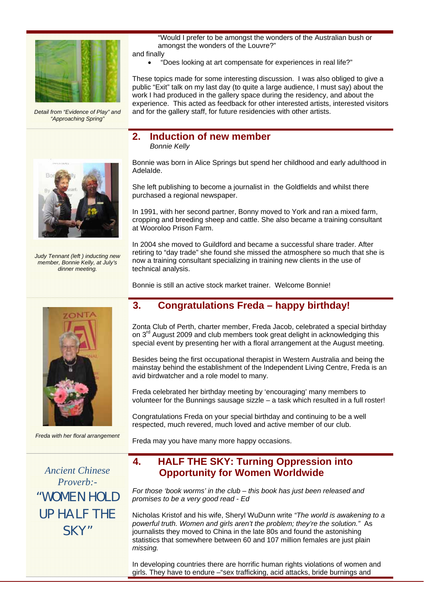

*Detail from "Evidence of Play" and "Approaching Spring"* 



*Judy Tennant (left ) inducting new member, Bonnie Kelly, at July's dinner meeting.* 



*Freda with her floral arrangement* 

*Ancient Chinese Proverb:-*  "WOMEN HOLD UP HALF THE SKY"

"Would I prefer to be amongst the wonders of the Australian bush or amongst the wonders of the Louvre?"

and finally

• "Does looking at art compensate for experiences in real life?"

These topics made for some interesting discussion. I was also obliged to give a public "Exit" talk on my last day (to quite a large audience, I must say) about the work I had produced in the gallery space during the residency, and about the experience. This acted as feedback for other interested artists, interested visitors and for the gallery staff, for future residencies with other artists.

## **2. Induction of new member**  *Bonnie Kelly*

Bonnie was born in Alice Springs but spend her childhood and early adulthood in AdelaIde.

She left publishing to become a journalist in the Goldfields and whilst there purchased a regional newspaper.

In 1991, with her second partner, Bonny moved to York and ran a mixed farm, cropping and breeding sheep and cattle. She also became a training consultant at Wooroloo Prison Farm.

In 2004 she moved to Guildford and became a successful share trader. After retiring to "day trade" she found she missed the atmosphere so much that she is now a training consultant specializing in training new clients in the use of technical analysis.

Bonnie is still an active stock market trainer. Welcome Bonnie!

# **3. Congratulations Freda – happy birthday!**

Zonta Club of Perth, charter member, Freda Jacob, celebrated a special birthday on 3<sup>rd</sup> August 2009 and club members took great delight in acknowledging this special event by presenting her with a floral arrangement at the August meeting.

Besides being the first occupational therapist in Western Australia and being the mainstay behind the establishment of the Independent Living Centre, Freda is an avid birdwatcher and a role model to many.

Freda celebrated her birthday meeting by 'encouraging' many members to volunteer for the Bunnings sausage sizzle – a task which resulted in a full roster!

Congratulations Freda on your special birthday and continuing to be a well respected, much revered, much loved and active member of our club.

Freda may you have many more happy occasions.

# **4. HALF THE SKY: Turning Oppression into Opportunity for Women Worldwide**

*For those 'book worms' in the club – this book has just been released and promises to be a very good read - Ed* 

Nicholas Kristof and his wife, Sheryl WuDunn write *"The world is awakening to a powerful truth. Women and girls aren't the problem; they're the solution."* As journalists they moved to China in the late 80s and found the astonishing statistics that somewhere between 60 and 107 million females are just plain *missing.* 

In developing countries there are horrific human rights violations of women and girls. They have to endure –"sex trafficking, acid attacks, bride burnings and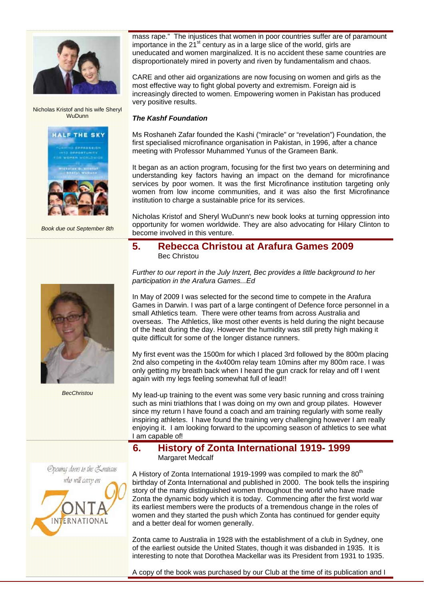

Nicholas Kristof and his wife Sheryl **WuDunn** 





*Book due out September 8th* 



*BecChristou* 



mass rape." The injustices that women in poor countries suffer are of paramount importance in the  $21^{st}$  century as in a large slice of the world, girls are uneducated and women marginalized. It is no accident these same countries are disproportionately mired in poverty and riven by fundamentalism and chaos.

CARE and other aid organizations are now focusing on women and girls as the most effective way to fight global poverty and extremism. Foreign aid is increasingly directed to women. Empowering women in Pakistan has produced very positive results.

## *The Kashf Foundation*

Ms Roshaneh Zafar founded the Kashi ("miracle" or "revelation") Foundation, the first specialised microfinance organisation in Pakistan, in 1996, after a chance meeting with Professor Muhammed Yunus of the Grameen Bank.

It began as an action program, focusing for the first two years on determining and understanding key factors having an impact on the demand for microfinance services by poor women. It was the first Microfinance institution targeting only women from low income communities, and it was also the first Microfinance institution to charge a sustainable price for its services.

Nicholas Kristof and Sheryl WuDunn's new book looks at turning oppression into opportunity for women worldwide. They are also advocating for Hilary Clinton to become involved in this venture.

## **5. Rebecca Christou at Arafura Games 2009**  Bec Christou

*Further to our report in the July Inzert, Bec provides a little background to her participation in the Arafura Games...Ed* 

In May of 2009 I was selected for the second time to compete in the Arafura Games in Darwin. I was part of a large contingent of Defence force personnel in a small Athletics team. There were other teams from across Australia and overseas. The Athletics, like most other events is held during the night because of the heat during the day. However the humidity was still pretty high making it quite difficult for some of the longer distance runners.

My first event was the 1500m for which I placed 3rd followed by the 800m placing 2nd also competing in the 4x400m relay team 10mins after my 800m race. I was only getting my breath back when I heard the gun crack for relay and off I went again with my legs feeling somewhat full of lead!!

My lead-up training to the event was some very basic running and cross training such as mini triathlons that I was doing on my own and group pilates. However since my return I have found a coach and am training regularly with some really inspiring athletes. I have found the training very challenging however I am really enjoying it. I am looking forward to the upcoming season of athletics to see what I am capable of!

## **6. History of Zonta International 1919- 1999**  Margaret Medcalf

A History of Zonta International 1919-1999 was compiled to mark the 80<sup>th</sup> birthday of Zonta International and published in 2000. The book tells the inspiring story of the many distinguished women throughout the world who have made Zonta the dynamic body which it is today. Commencing after the first world war its earliest members were the products of a tremendous change in the roles of women and they started the push which Zonta has continued for gender equity and a better deal for women generally.

Zonta came to Australia in 1928 with the establishment of a club in Sydney, one of the earliest outside the United States, though it was disbanded in 1935. It is interesting to note that Dorothea Mackellar was its President from 1931 to 1935.

A copy of the book was purchased by our Club at the time of its publication and I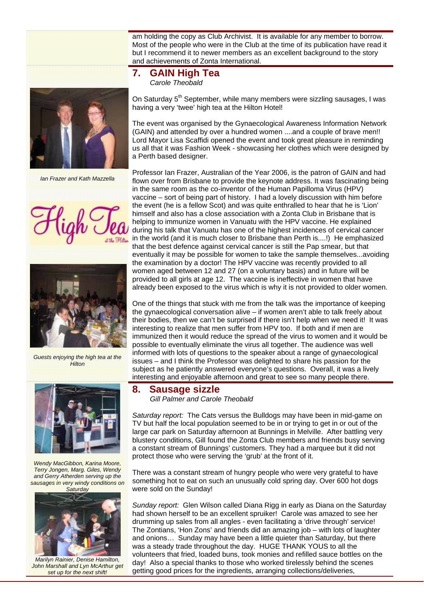am holding the copy as Club Archivist. It is available for any member to borrow. Most of the people who were in the Club at the time of its publication have read it but I recommend it to newer members as an excellent background to the story and achievements of Zonta International.



*Ian Frazer and Kath Mazzella* 





*Guests enjoying the high tea at the Hilton* 



*Wendy MacGibbon, Karina Moore, Terry Jongen, Marg. Giles, Wendy and Gerry Atherden serving up the sausages in very windy conditions on Saturday* 



*Marilyn Rainier, Denise Hamilton, John Marshall and Lyn McArthur get set up for the next shift!* 

## **7. GAIN High Tea** *Carole Theobald*

On Saturday 5<sup>th</sup> September, while many members were sizzling sausages, I was having a very 'twee' high tea at the Hilton Hotel!

The event was organised by the Gynaecological Awareness Information Network (GAIN) and attended by over a hundred women ....and a couple of brave men!! Lord Mayor Lisa Scaffidi opened the event and took great pleasure in reminding us all that it was Fashion Week - showcasing her clothes which were designed by a Perth based designer.

Professor Ian Frazer, Australian of the Year 2006, is the patron of GAIN and had flown over from Brisbane to provide the keynote address. It was fascinating being in the same room as the co-inventor of the Human Papilloma Virus (HPV) vaccine – sort of being part of history. I had a lovely discussion with him before the event (he is a fellow Scot) and was quite enthralled to hear that he is 'Lion' himself and also has a close association with a Zonta Club in Brisbane that is helping to immunize women in Vanuatu with the HPV vaccine. He explained during his talk that Vanuatu has one of the highest incidences of cervical cancer in the world (and it is much closer to Brisbane than Perth is....!) He emphasized that the best defence against cervical cancer is still the Pap smear, but that eventually it may be possible for women to take the sample themselves...avoiding the examination by a doctor! The HPV vaccine was recently provided to all women aged between 12 and 27 (on a voluntary basis) and in future will be provided to all girls at age 12. The vaccine is ineffective in women that have already been exposed to the virus which is why it is not provided to older women.

One of the things that stuck with me from the talk was the importance of keeping the gynaecological conversation alive – if women aren't able to talk freely about their bodies, then we can't be surprised if there isn't help when we need it! It was interesting to realize that men suffer from HPV too. If both and if men are immunized then it would reduce the spread of the virus to women and it would be possible to eventually eliminate the virus all together. The audience was well informed with lots of questions to the speaker about a range of gynaecological issues – and I think the Professor was delighted to share his passion for the subject as he patiently answered everyone's questions. Overall, it was a lively interesting and enjoyable afternoon and great to see so many people there.

### **8. Sausage sizzle**  *Gill Palmer and Carole Theobald*

*Saturday report:* The Cats versus the Bulldogs may have been in mid-game on TV but half the local population seemed to be in or trying to get in or out of the large car park on Saturday afternoon at Bunnings in Melville. After battling very blustery conditions, Gill found the Zonta Club members and friends busy serving a constant stream of Bunnings' customers. They had a marquee but it did not protect those who were serving the 'grub' at the front of it.

There was a constant stream of hungry people who were very grateful to have something hot to eat on such an unusually cold spring day. Over 600 hot dogs were sold on the Sunday!

*Sunday report:* Glen Wilson called Diana Rigg in early as Diana on the Saturday had shown herself to be an excellent spruiker! Carole was amazed to see her drumming up sales from all angles - even facilitating a 'drive through' service! The Zontians, 'Hon Zons' and friends did an amazing job – with lots of laughter and onions… Sunday may have been a little quieter than Saturday, but there was a steady trade throughout the day. HUGE THANK YOUS to all the volunteers that fried, loaded buns, took monies and refilled sauce bottles on the day! Also a special thanks to those who worked tirelessly behind the scenes getting good prices for the ingredients, arranging collections/deliveries,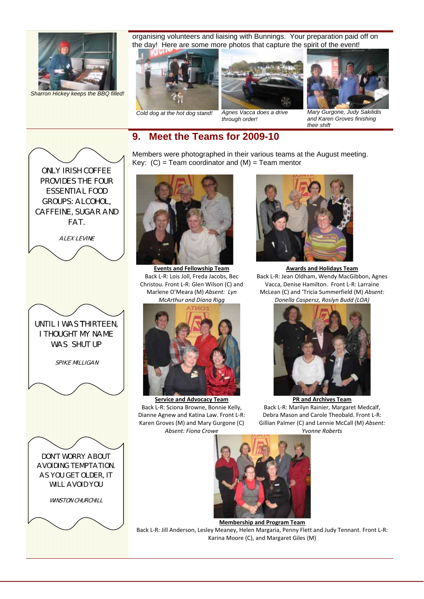

*Sharron Hickey keeps the BBQ filled!* 

FAT.

**ALEX LEVINE** 

UNTIL I WAS THIRTEEN, I THOUGHT MY NAME WAS **SHUT UP** 

SPIKE MILLIGAN

DON'T WORRY ABOUT AVOIDING TEMPTATION. AS YOU GET OLDER, IT WILL AVOID YOU

**WINSTON CHURCHILL** 

organising volunteers and liaising with Bunnings. Your preparation paid off on the day! Here are some more photos that capture the spirit of the event!





*Cold dog at the hot dog stand! Agnes Vacca does a drive through order!* 



*Mary Gurgone, Judy Sakilidis and Karen Groves finishing their shift* 

# **9. Meet the Teams for 2009-10**

Members were photographed in their various teams at the August meeting. Key:  $(C)$  = Team coordinator and  $(M)$  = Team mentor



**Events and Fellowship Team** Back L‐R: Lois Joll, Freda Jacobs, Bec Christou. Front L‐R: Glen Wilson (C) and Marlene O'Meara (M) *Absent: Lyn McArthur and Diana Rigg*



**Service and Advocacy Team** Back L‐R: Sciona Browne, Bonnie Kelly, Dianne Agnew and Katina Law. Front L‐R: Karen Groves (M) and Mary Gurgone (C) *Absent: Fiona Crowe*



**Awards and Holidays Team** Back L‐R: Jean Oldham, Wendy MacGibbon, Agnes Vacca, Denise Hamilton. Front L‐R: Larraine McLean (C) and 'Tricia Summerfield (M) *Absent: Donella Caspersz, Roslyn Budd (LOA)*



**PR and Archives Team** Back L‐R: Marilyn Rainier, Margaret Medcalf, Debra Mason and Carole Theobald. Front L‐R: Gillian Palmer (C) and Lennie McCall (M) *Absent: Yvonne Roberts*



**Membership and Program Team**

Back L‐R: Jill Anderson, Lesley Meaney, Helen Margaria, Penny Flett and Judy Tennant. Front L‐R: Karina Moore (C), and Margaret Giles (M)